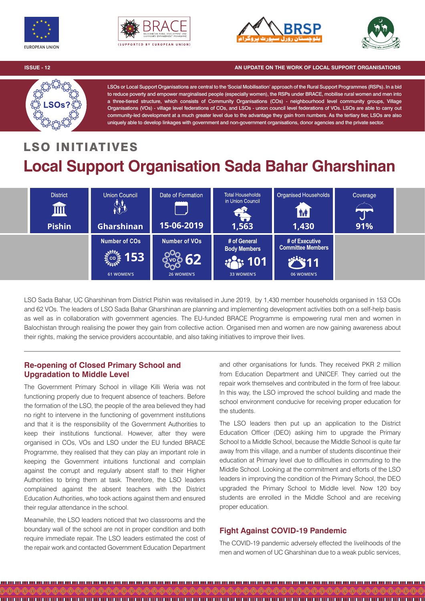







**ISSUE - 12 AN UPDATE ON THE WORK OF LOCAL SUPPORT ORGANISATIONS** 



LSOs or Local Support Organisations are central to the 'Social Mobilisation' approach of the Rural Support Programmes (RSPs). In a bid to reduce poverty and empower marginalised people (especially women), the RSPs under BRACE, mobilise rural women and men into a three-tiered structure, which consists of Community Organisations (COs) - neighbourhood level community groups, Village Organisations (VOs) - village level federations of COs, and LSOs - union council level federations of VOs. LSOs are able to carry out community-led development at a much greater level due to the advantage they gain from numbers. As the tertiary tier, LSOs are also uniquely able to develop linkages with government and non-government organisations, donor agencies and the private sector.

## LSO INITIATIVES **Local Support Organisation Sada Bahar Gharshinan**



LSO Sada Bahar, UC Gharshinan from District Pishin was revitalised in June 2019, by 1,430 member households organised in 153 COs and 62 VOs. The leaders of LSO Sada Bahar Gharshinan are planning and implementing development activities both on a self-help basis as well as in collaboration with government agencies. The EU-funded BRACE Programme is empowering rural men and women in Balochistan through realising the power they gain from collective action. Organised men and women are now gaining awareness about their rights, making the service providers accountable, and also taking initiatives to improve their lives.

## **Re-opening of Closed Primary School and Upgradation to Middle Level**

The Government Primary School in village Killi Weria was not functioning properly due to frequent absence of teachers. Before the formation of the LSO, the people of the area believed they had no right to intervene in the functioning of government institutions and that it is the responsibility of the Government Authorities to keep their institutions functional. However, after they were organised in COs, VOs and LSO under the EU funded BRACE Programme, they realised that they can play an important role in keeping the Government intuitions functional and complain against the corrupt and regularly absent staff to their Higher Authorities to bring them at task. Therefore, the LSO leaders complained against the absent teachers with the District Education Authorities, who took actions against them and ensured their regular attendance in the school.

Meanwhile, the LSO leaders noticed that two classrooms and the boundary wall of the school are not in proper condition and both require immediate repair. The LSO leaders estimated the cost of the repair work and contacted Government Education Department

and other organisations for funds. They received PKR 2 million from Education Department and UNICEF. They carried out the repair work themselves and contributed in the form of free labour. In this way, the LSO improved the school building and made the school environment conducive for receiving proper education for the students.

The LSO leaders then put up an application to the District Education Officer (DEO) asking him to upgrade the Primary School to a Middle School, because the Middle School is quite far away from this village, and a number of students discontinue their education at Primary level due to difficulties in commuting to the Middle School. Looking at the commitment and efforts of the LSO leaders in improving the condition of the Primary School, the DEO upgraded the Primary School to Middle level. Now 120 boy students are enrolled in the Middle School and are receiving proper education.

## **Fight Against COVID-19 Pandemic**

The COVID-19 pandemic adversely effected the livelihoods of the men and women of UC Gharshinan due to a weak public services,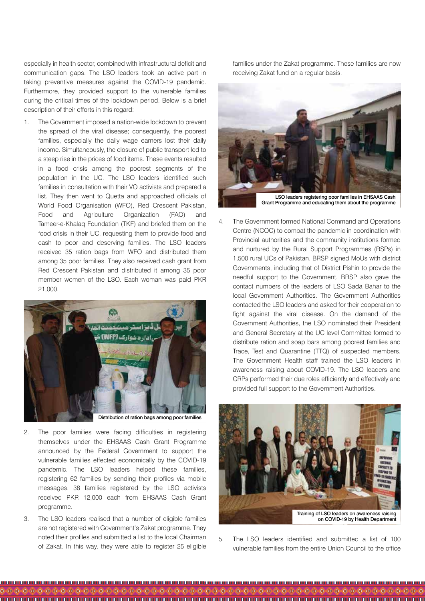especially in health sector, combined with infrastructural deficit and communication gaps. The LSO leaders took an active part in taking preventive measures against the COVID-19 pandemic. Furthermore, they provided support to the vulnerable families during the critical times of the lockdown period. Below is a brief description of their efforts in this regard:

1. The Government imposed a nation-wide lockdown to prevent the spread of the viral disease; consequently, the poorest families, especially the daily wage earners lost their daily income. Simultaneously, the closure of public transport led to a steep rise in the prices of food items. These events resulted in a food crisis among the poorest segments of the population in the UC. The LSO leaders identified such families in consultation with their VO activists and prepared a list. They then went to Quetta and approached officials of World Food Organisation (WFO), Red Crescent Pakistan, Food and Agriculture Organization (FAO) and Tameer-e-Khalaq Foundation (TKF) and briefed them on the food crisis in their UC, requesting them to provide food and cash to poor and deserving families. The LSO leaders received 35 ration bags from WFO and distributed them among 35 poor families. They also received cash grant from Red Crescent Pakistan and distributed it among 35 poor member women of the LSO. Each woman was paid PKR 21,000.



Distribution of ration bags among poor families

- 2. The poor families were facing difficulties in registering themselves under the EHSAAS Cash Grant Programme announced by the Federal Government to support the vulnerable families effected economically by the COVID-19 pandemic. The LSO leaders helped these families, registering 62 families by sending their profiles via mobile messages. 38 families registered by the LSO activists received PKR 12,000 each from EHSAAS Cash Grant programme.
- 3. The LSO leaders realised that a number of eligible families are not registered with Government's Zakat programme. They noted their profiles and submitted a list to the local Chairman of Zakat. In this way, they were able to register 25 eligible

families under the Zakat programme. These families are now receiving Zakat fund on a regular basis.



Grant Programme and educating them about the programme

4. The Government formed National Command and Operations Centre (NCOC) to combat the pandemic in coordination with Provincial authorities and the community institutions formed and nurtured by the Rural Support Programmes (RSPs) in 1,500 rural UCs of Pakistan. BRSP signed MoUs with district Governments, including that of District Pishin to provide the needful support to the Government. BRSP also gave the contact numbers of the leaders of LSO Sada Bahar to the local Government Authorities. The Government Authorities contacted the LSO leaders and asked for their cooperation to fight against the viral disease. On the demand of the Government Authorities, the LSO nominated their President and General Secretary at the UC level Committee formed to distribute ration and soap bars among poorest families and Trace, Test and Quarantine (TTQ) of suspected members. The Government Health staff trained the LSO leaders in awareness raising about COVID-19. The LSO leaders and CRPs performed their due roles efficiently and effectively and provided full support to the Government Authorities.



on COVID-19 by Health Department

5. The LSO leaders identified and submitted a list of 100 vulnerable families from the entire Union Council to the office